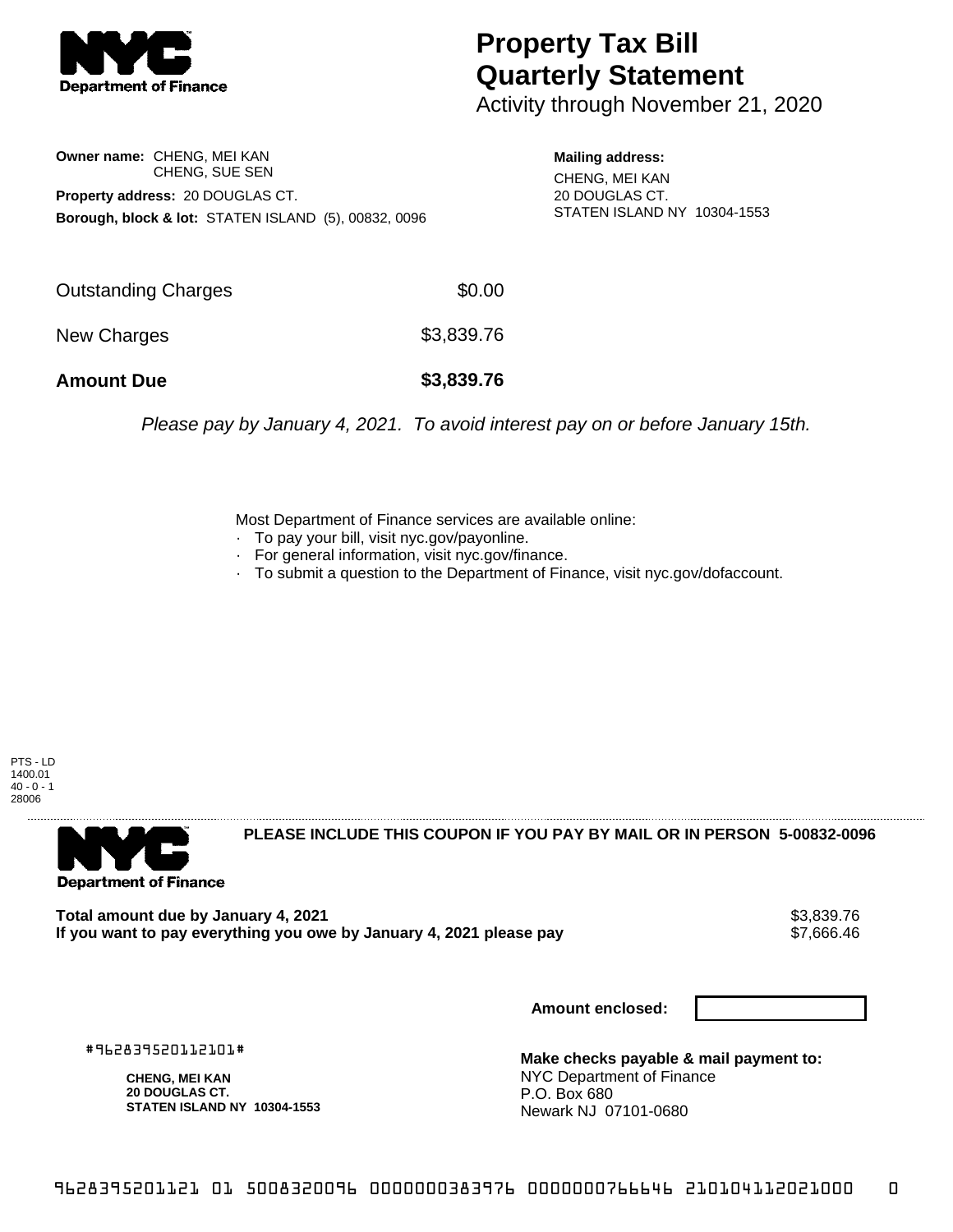

## **Property Tax Bill Quarterly Statement**

Activity through November 21, 2020

**Owner name:** CHENG, MEI KAN CHENG, SUE SEN **Property address:** 20 DOUGLAS CT. **Borough, block & lot:** STATEN ISLAND (5), 00832, 0096

**Mailing address:** CHENG, MEI KAN 20 DOUGLAS CT. STATEN ISLAND NY 10304-1553

| <b>Amount Due</b>   | \$3,839.76 |
|---------------------|------------|
| New Charges         | \$3,839.76 |
| Outstanding Charges | \$0.00     |

Please pay by January 4, 2021. To avoid interest pay on or before January 15th.

Most Department of Finance services are available online:

- · To pay your bill, visit nyc.gov/payonline.
- For general information, visit nyc.gov/finance.
- · To submit a question to the Department of Finance, visit nyc.gov/dofaccount.

PTS - LD 1400.01  $40 - 0 - 1$ 28006



**PLEASE INCLUDE THIS COUPON IF YOU PAY BY MAIL OR IN PERSON 5-00832-0096** 

Total amount due by January 4, 2021<br>If you want to pay everything you owe by January 4, 2021 please pay **ship and the same of the set of the s**7,666.46 If you want to pay everything you owe by January 4, 2021 please pay

**Amount enclosed:**

#962839520112101#

**CHENG, MEI KAN 20 DOUGLAS CT. STATEN ISLAND NY 10304-1553**

**Make checks payable & mail payment to:** NYC Department of Finance P.O. Box 680 Newark NJ 07101-0680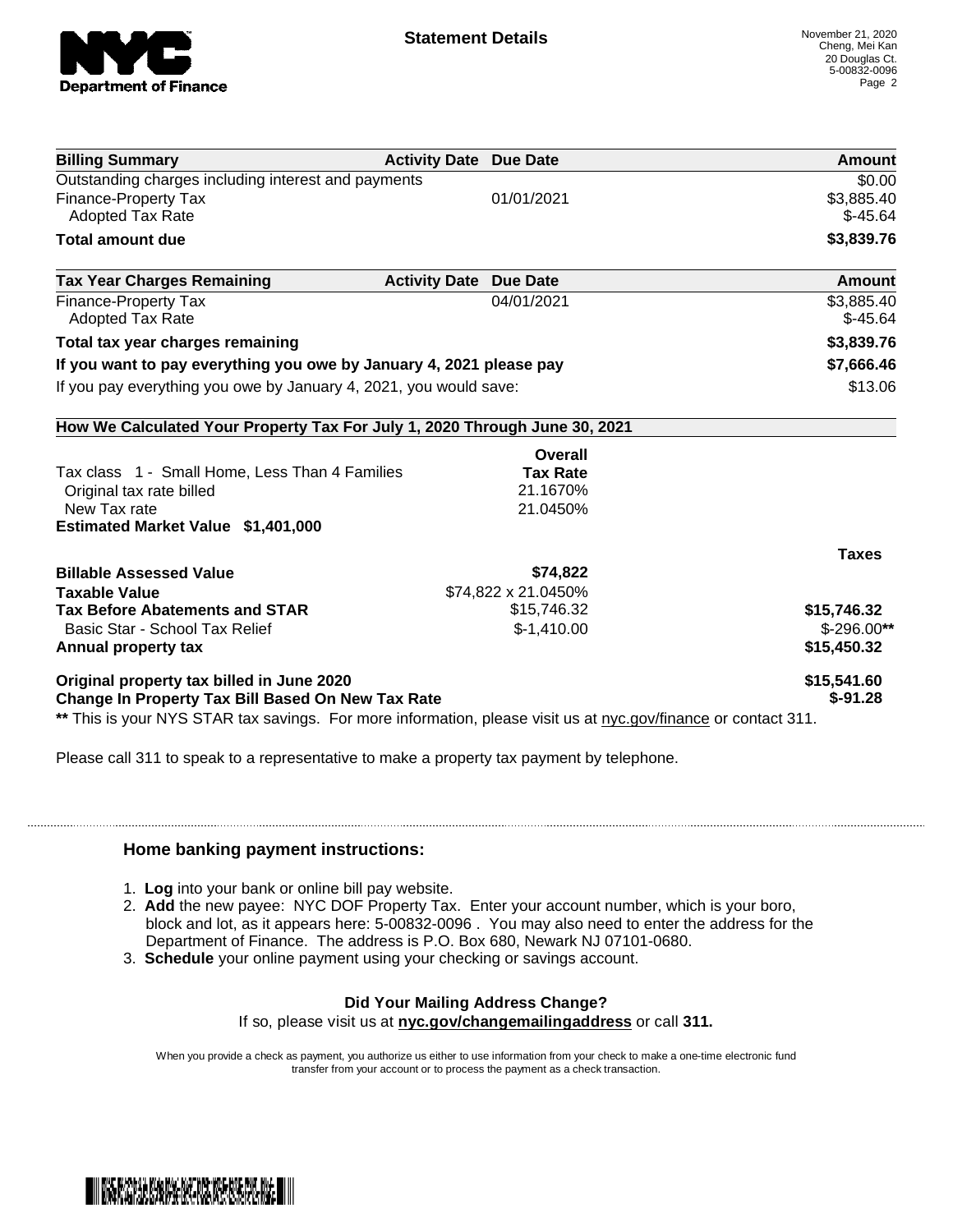

| <b>Activity Date Due Date</b>                                              | Amount              |
|----------------------------------------------------------------------------|---------------------|
|                                                                            | \$0.00              |
| 01/01/2021                                                                 | \$3,885.40          |
|                                                                            | $$-45.64$           |
|                                                                            | \$3,839.76          |
| <b>Activity Date</b><br><b>Due Date</b>                                    | <b>Amount</b>       |
| 04/01/2021                                                                 | \$3,885.40          |
|                                                                            | $$-45.64$           |
|                                                                            | \$3,839.76          |
| If you want to pay everything you owe by January 4, 2021 please pay        | \$7,666.46          |
| If you pay everything you owe by January 4, 2021, you would save:          | \$13.06             |
| How We Calculated Your Property Tax For July 1, 2020 Through June 30, 2021 |                     |
| Overall                                                                    |                     |
| <b>Tax Rate</b>                                                            |                     |
| 21.1670%                                                                   |                     |
| 21.0450%                                                                   |                     |
|                                                                            |                     |
|                                                                            | <b>Taxes</b>        |
| \$74,822                                                                   |                     |
|                                                                            |                     |
| \$15,746.32                                                                | \$15,746.32         |
| $$-1,410.00$                                                               | $$-296.00**$        |
|                                                                            | \$15,450.32         |
|                                                                            | \$15,541.60         |
| <b>Change In Property Tax Bill Based On New Tax Rate</b>                   | $$ -91.28$          |
|                                                                            | \$74,822 x 21.0450% |

Please call 311 to speak to a representative to make a property tax payment by telephone.

## **Home banking payment instructions:**

- 1. **Log** into your bank or online bill pay website.
- 2. **Add** the new payee: NYC DOF Property Tax. Enter your account number, which is your boro, block and lot, as it appears here: 5-00832-0096 . You may also need to enter the address for the Department of Finance. The address is P.O. Box 680, Newark NJ 07101-0680.
- 3. **Schedule** your online payment using your checking or savings account.

## **Did Your Mailing Address Change?**

If so, please visit us at **nyc.gov/changemailingaddress** or call **311.**

When you provide a check as payment, you authorize us either to use information from your check to make a one-time electronic fund transfer from your account or to process the payment as a check transaction.